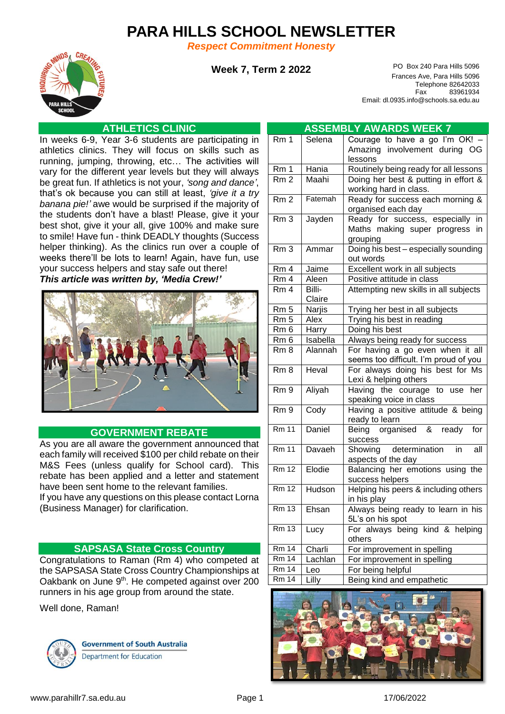# **PARA HILLS SCHOOL NEWSLETTER**

*Respect Commitment Honesty*



**Week 7, Term 2 2022**

PO Box 240 Para Hills 5096 Frances Ave, Para Hills 5096 Telephone 82642033 Fax 83961934 Email: dl.0935.info@schools.sa.edu.au

## **ATHLETICS CLINIC**

In weeks 6-9, Year 3-6 students are participating in athletics clinics. They will focus on skills such as running, jumping, throwing, etc… The activities will vary for the different year levels but they will always be great fun. If athletics is not your, *'song and dance'*, that's ok because you can still at least, *'give it a try banana pie!'* awe would be surprised if the majority of the students don't have a blast! Please, give it your best shot, give it your all, give 100% and make sure to smile! Have fun - think DEADLY thoughts (Success helper thinking). As the clinics run over a couple of weeks there'll be lots to learn! Again, have fun, use your success helpers and stay safe out there!

*This article was written by, 'Media Crew!'*



### **GOVERNMENT REBATE**

As you are all aware the government announced that each family will received \$100 per child rebate on their M&S Fees (unless qualify for School card). This rebate has been applied and a letter and statement have been sent home to the relevant families.

If you have any questions on this please contact Lorna (Business Manager) for clarification.

### **SAPSASA State Cross Country**

Congratulations to Raman (Rm 4) who competed at the SAPSASA State Cross Country Championships at Oakbank on June 9<sup>th</sup>. He competed against over 200 runners in his age group from around the state.

Well done, Raman!



**Government of South Australia** Department for Education

| <b>ASSEMBLY AWARDS WEEK 7</b> |                                                 |                                                           |  |
|-------------------------------|-------------------------------------------------|-----------------------------------------------------------|--|
| $\overline{R}$ m 1            | Selena                                          | Courage to have a go I'm OK!                              |  |
|                               |                                                 | Amazing involvement during OG                             |  |
|                               |                                                 | lessons                                                   |  |
| Rm 1                          | Hania                                           | Routinely being ready for all lessons                     |  |
| Rm <sub>2</sub>               | Maahi                                           | Doing her best & putting in effort &                      |  |
|                               |                                                 | working hard in class.                                    |  |
| Rm <sub>2</sub>               | Fatemah                                         | Ready for success each morning &                          |  |
|                               |                                                 | organised each day                                        |  |
| Rm3                           | Jayden                                          | Ready for success, especially<br>in                       |  |
|                               |                                                 | Maths making super progress in<br>grouping                |  |
| Rm <sub>3</sub>               | Ammar                                           | Doing his best - especially sounding                      |  |
|                               |                                                 | out words                                                 |  |
| Rm <sub>4</sub>               | Jaime                                           | Excellent work in all subjects                            |  |
| Rm <sub>4</sub>               | Aleen                                           | Positive attitude in class                                |  |
| Rm <sub>4</sub>               | Billi-<br>Attempting new skills in all subjects |                                                           |  |
|                               | Claire                                          |                                                           |  |
| Rm <sub>5</sub>               | Narjis                                          | Trying her best in all subjects                           |  |
| Rm <sub>5</sub>               | Alex                                            | Trying his best in reading                                |  |
| Rm <sub>6</sub>               | Harry                                           | Doing his best                                            |  |
| Rm <sub>6</sub>               | Isabella                                        | Always being ready for success                            |  |
| Rm <sub>8</sub>               | Alannah                                         | For having a go even when it all                          |  |
|                               |                                                 | seems too difficult. I'm proud of you                     |  |
| Rm <sub>8</sub>               | Heval                                           | For always doing his best for Ms<br>Lexi & helping others |  |
| Rm <sub>9</sub>               | Aliyah                                          | the courage to<br>Having<br>her<br>use                    |  |
|                               |                                                 | speaking voice in class                                   |  |
| Rm <sub>9</sub>               | Cody                                            | Having a positive attitude & being                        |  |
|                               |                                                 | ready to learn                                            |  |
| <b>Rm 11</b>                  | Daniel                                          | Being organised &<br>ready<br>for                         |  |
|                               |                                                 | success                                                   |  |
| Rm <sub>11</sub>              | Davaeh                                          | determination<br>Showing<br>in<br>all                     |  |
| <b>Rm 12</b>                  |                                                 | aspects of the day                                        |  |
|                               | Elodie                                          | Balancing her emotions using the                          |  |
| <b>Rm 12</b>                  | Hudson                                          | success helpers<br>Helping his peers & including others   |  |
|                               |                                                 | in his play                                               |  |
| Rm <sub>13</sub>              | Ehsan                                           | Always being ready to learn in his                        |  |
|                               |                                                 | 5L's on his spot                                          |  |
| <b>Rm 13</b>                  | Lucy                                            | For always being kind & helping                           |  |
|                               |                                                 | others                                                    |  |
| Rm 14                         | Charli                                          | For improvement in spelling                               |  |
| <b>Rm 14</b>                  | Lachlan                                         | For improvement in spelling                               |  |
| <b>Rm 14</b>                  | Leo                                             | For being helpful                                         |  |
| <b>Rm 14</b>                  | Lilly                                           | Being kind and empathetic                                 |  |